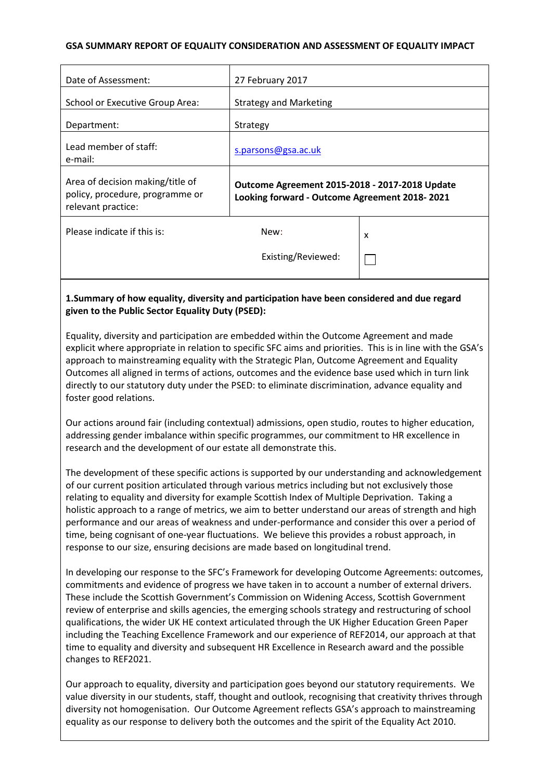### **GSA SUMMARY REPORT OF EQUALITY CONSIDERATION AND ASSESSMENT OF EQUALITY IMPACT**

| Date of Assessment:                                                                       | 27 February 2017                                                                                |   |  |
|-------------------------------------------------------------------------------------------|-------------------------------------------------------------------------------------------------|---|--|
| School or Executive Group Area:                                                           | <b>Strategy and Marketing</b>                                                                   |   |  |
| Department:                                                                               | Strategy                                                                                        |   |  |
| Lead member of staff:<br>e-mail:                                                          | s.parsons@gsa.ac.uk                                                                             |   |  |
| Area of decision making/title of<br>policy, procedure, programme or<br>relevant practice: | Outcome Agreement 2015-2018 - 2017-2018 Update<br>Looking forward - Outcome Agreement 2018-2021 |   |  |
| Please indicate if this is:                                                               | New:                                                                                            | x |  |
|                                                                                           | Existing/Reviewed:                                                                              |   |  |

## **1.Summary of how equality, diversity and participation have been considered and due regard given to the Public Sector Equality Duty (PSED):**

Equality, diversity and participation are embedded within the Outcome Agreement and made explicit where appropriate in relation to specific SFC aims and priorities. This is in line with the GSA's approach to mainstreaming equality with the Strategic Plan, Outcome Agreement and Equality Outcomes all aligned in terms of actions, outcomes and the evidence base used which in turn link directly to our statutory duty under the PSED: to eliminate discrimination, advance equality and foster good relations.

Our actions around fair (including contextual) admissions, open studio, routes to higher education, addressing gender imbalance within specific programmes, our commitment to HR excellence in research and the development of our estate all demonstrate this.

The development of these specific actions is supported by our understanding and acknowledgement of our current position articulated through various metrics including but not exclusively those relating to equality and diversity for example Scottish Index of Multiple Deprivation. Taking a holistic approach to a range of metrics, we aim to better understand our areas of strength and high performance and our areas of weakness and under-performance and consider this over a period of time, being cognisant of one-year fluctuations. We believe this provides a robust approach, in response to our size, ensuring decisions are made based on longitudinal trend.

In developing our response to the SFC's Framework for developing Outcome Agreements: outcomes, commitments and evidence of progress we have taken in to account a number of external drivers. These include the Scottish Government's Commission on Widening Access, Scottish Government review of enterprise and skills agencies, the emerging schools strategy and restructuring of school qualifications, the wider UK HE context articulated through the UK Higher Education Green Paper including the Teaching Excellence Framework and our experience of REF2014, our approach at that time to equality and diversity and subsequent HR Excellence in Research award and the possible changes to REF2021.

Our approach to equality, diversity and participation goes beyond our statutory requirements. We value diversity in our students, staff, thought and outlook, recognising that creativity thrives through diversity not homogenisation. Our Outcome Agreement reflects GSA's approach to mainstreaming equality as our response to delivery both the outcomes and the spirit of the Equality Act 2010.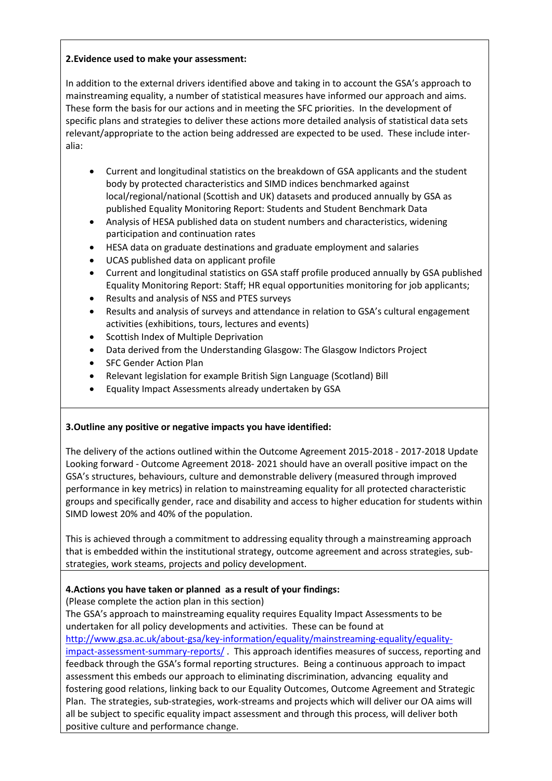## **2.Evidence used to make your assessment:**

In addition to the external drivers identified above and taking in to account the GSA's approach to mainstreaming equality, a number of statistical measures have informed our approach and aims. These form the basis for our actions and in meeting the SFC priorities. In the development of specific plans and strategies to deliver these actions more detailed analysis of statistical data sets relevant/appropriate to the action being addressed are expected to be used. These include interalia:

- Current and longitudinal statistics on the breakdown of GSA applicants and the student body by protected characteristics and SIMD indices benchmarked against local/regional/national (Scottish and UK) datasets and produced annually by GSA as published Equality Monitoring Report: Students and Student Benchmark Data
- Analysis of HESA published data on student numbers and characteristics, widening participation and continuation rates
- HESA data on graduate destinations and graduate employment and salaries
- UCAS published data on applicant profile
- Current and longitudinal statistics on GSA staff profile produced annually by GSA published Equality Monitoring Report: Staff; HR equal opportunities monitoring for job applicants;
- Results and analysis of NSS and PTES surveys
- Results and analysis of surveys and attendance in relation to GSA's cultural engagement activities (exhibitions, tours, lectures and events)
- Scottish Index of Multiple Deprivation
- Data derived from the Understanding Glasgow: The Glasgow Indictors Project
- SFC Gender Action Plan
- Relevant legislation for example British Sign Language (Scotland) Bill
- Equality Impact Assessments already undertaken by GSA

# **3.Outline any positive or negative impacts you have identified:**

The delivery of the actions outlined within the Outcome Agreement 2015-2018 - 2017-2018 Update Looking forward - Outcome Agreement 2018- 2021 should have an overall positive impact on the GSA's structures, behaviours, culture and demonstrable delivery (measured through improved performance in key metrics) in relation to mainstreaming equality for all protected characteristic groups and specifically gender, race and disability and access to higher education for students within SIMD lowest 20% and 40% of the population.

This is achieved through a commitment to addressing equality through a mainstreaming approach that is embedded within the institutional strategy, outcome agreement and across strategies, substrategies, work steams, projects and policy development.

# **4.Actions you have taken or planned as a result of your findings:**

(Please complete the action plan in this section)

The GSA's approach to mainstreaming equality requires Equality Impact Assessments to be undertaken for all policy developments and activities. These can be found at [http://www.gsa.ac.uk/about-gsa/key-information/equality/mainstreaming-equality/equality](http://www.gsa.ac.uk/about-gsa/key-information/equality/mainstreaming-equality/equality-impact-assessment-summary-reports/)[impact-assessment-summary-reports/](http://www.gsa.ac.uk/about-gsa/key-information/equality/mainstreaming-equality/equality-impact-assessment-summary-reports/) . This approach identifies measures of success, reporting and feedback through the GSA's formal reporting structures. Being a continuous approach to impact assessment this embeds our approach to eliminating discrimination, advancing equality and fostering good relations, linking back to our Equality Outcomes, Outcome Agreement and Strategic Plan. The strategies, sub-strategies, work-streams and projects which will deliver our OA aims will all be subject to specific equality impact assessment and through this process, will deliver both positive culture and performance change.